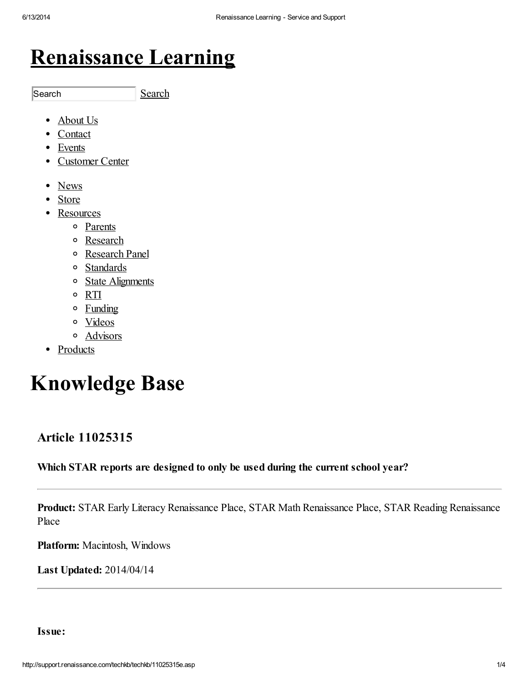## [Renaissance](http://www.renaissance.com/home) Learning

[Search](javascript: goSearch()) Search

- [About](http://www.renaissance.com/about-us) Us  $\bullet$
- [Contact](http://www.renaissance.com/contact-us)
- [Events](http://www.renaissance.com/events)
- [Customer](http://www.renaissance.com/customer-center) Center
- [News](http://www.renaissance.com/News)
- [Store](http://www.renaissance.com/store)
- [Resources](http://www.renaissance.com/resources)
	- [Parents](http://www.renaissance.com/Resources/Parents)
	- [Research](http://www.renaissance.com/Resources/Research)
	- [Research](http://www.renaissance.com/Resources/Research-Panel) Panel
	- [Standards](http://www.renaissance.com/Resources/Standards)
	- State [Alignments](http://www.renaissance.com/Resources/State-Alignments)
	- [RTI](http://www.renaissance.com/Resources/RTI)
	- [Funding](http://www.renaissance.com/Resources/Funding)
	- o [Videos](http://www.renaissance.com/Resources/Videos)
	- [Advisors](http://www.renaissance.com/Resources/Advisors)
- Products

# Knowledge Base

## Article 11025315

## Which STAR reports are designed to only be used during the current school year?

Product: STAR Early Literacy Renaissance Place, STAR Math Renaissance Place, STAR Reading Renaissance Place

Platform: Macintosh, Windows

Last Updated: 2014/04/14

Issue: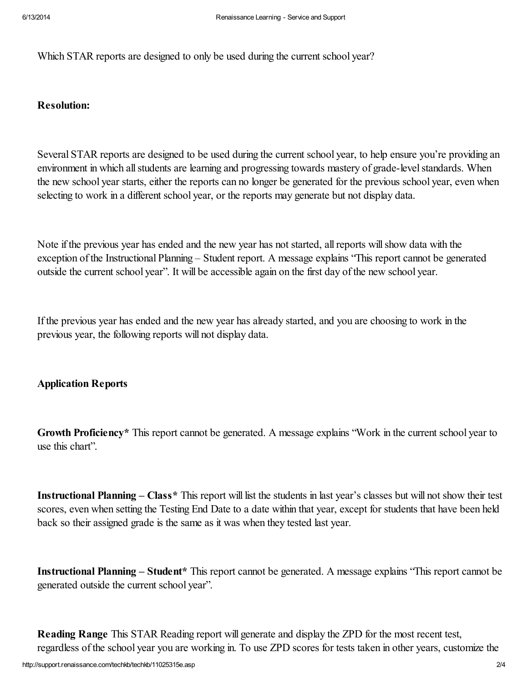Which STAR reports are designed to only be used during the current school year?

## Resolution:

Several STAR reports are designed to be used during the current school year, to help ensure you're providing an environment in which all students are learning and progressing towards mastery of grade-level standards. When the new school year starts, either the reports can no longer be generated for the previous school year, even when selecting to work in a different school year, or the reports may generate but not display data.

Note if the previous year has ended and the new year has not started, allreports willshow data with the exception of the Instructional Planning – Student report. A message explains "This report cannot be generated outside the current school year". It will be accessible again on the first day of the new school year.

If the previous year has ended and the new year has already started, and you are choosing to work in the previous year, the following reports will not display data.

## Application Reports

Growth Proficiency\* This report cannot be generated. A message explains "Work in the current school year to use this chart".

Instructional Planning – Class\* This report will list the students in last year's classes but will not show their test scores, even when setting the Testing End Date to a date within that year, except for students that have been held back so their assigned grade is the same as it was when they tested last year.

Instructional Planning – Student\* This report cannot be generated. A message explains "This report cannot be generated outside the current school year".

Reading Range This STAR Reading report will generate and display the ZPD for the most recent test, regardless of the school year you are working in. To use ZPD scores for tests taken in other years, customize the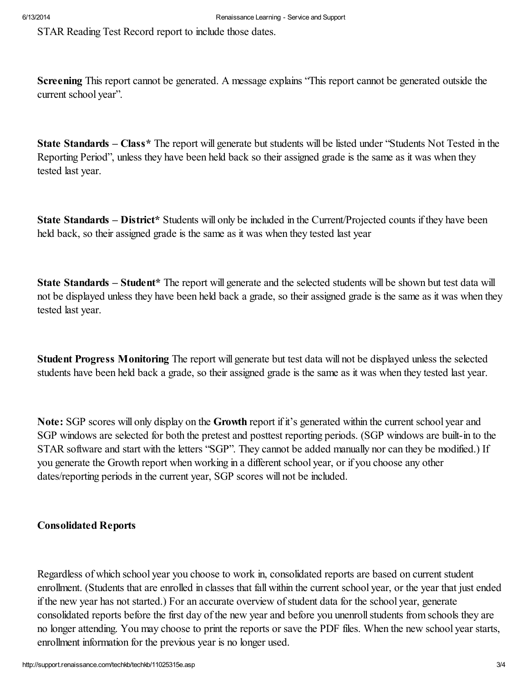STAR Reading Test Record report to include those dates.

Screening This report cannot be generated. A message explains "This report cannot be generated outside the current school year".

State Standards – Class\* The report will generate but students will be listed under "Students Not Tested in the Reporting Period", unless they have been held back so their assigned grade is the same as it was when they tested last year.

State Standards – District\* Students will only be included in the Current/Projected counts if they have been held back, so their assigned grade is the same as it was when they tested last year

State Standards – Student\* The report will generate and the selected students will be shown but test data will not be displayed unless they have been held back a grade, so their assigned grade is the same as it was when they tested last year.

Student Progress Monitoring The report will generate but test data will not be displayed unless the selected students have been held back a grade, so their assigned grade is the same as it was when they tested last year.

Note: SGP scores will only display on the Growth report if it's generated within the current school year and SGP windows are selected for both the pretest and posttest reporting periods. (SGP windows are built-in to the STAR software and start with the letters "SGP". They cannot be added manually nor can they be modified.) If you generate the Growth report when working in a different school year, or if you choose any other dates/reporting periods in the current year, SGP scores will not be included.

## Consolidated Reports

Regardless of which school year you choose to work in, consolidated reports are based on current student enrollment. (Students that are enrolled in classes that fall within the current school year, or the year that just ended if the new year has not started.) For an accurate overview ofstudent data for the school year, generate consolidated reports before the first day of the new year and before you unenrollstudents from schools they are no longer attending. You may choose to print the reports or save the PDF files. When the new school year starts, enrollment information for the previous year is no longer used.